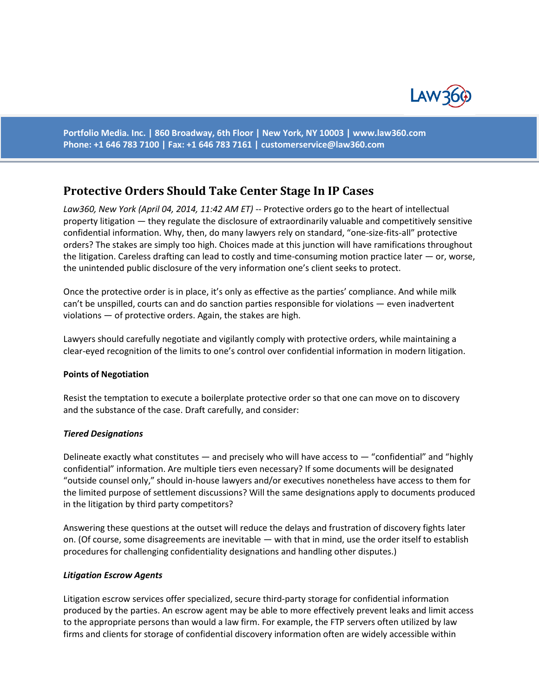

**Portfolio Media. Inc. | 860 Broadway, 6th Floor | New York, NY 10003 | www.law360.com Phone: +1 646 783 7100 | Fax: +1 646 783 7161 | [customerservice@law360.com](mailto:customerservice@law360.com)**

# **Protective Orders Should Take Center Stage In IP Cases**

*Law360, New York (April 04, 2014, 11:42 AM ET)* -- Protective orders go to the heart of intellectual property litigation — they regulate the disclosure of extraordinarily valuable and competitively sensitive confidential information. Why, then, do many lawyers rely on standard, "one-size-fits-all" protective orders? The stakes are simply too high. Choices made at this junction will have ramifications throughout the litigation. Careless drafting can lead to costly and time-consuming motion practice later — or, worse, the unintended public disclosure of the very information one's client seeks to protect.

Once the protective order is in place, it's only as effective as the parties' compliance. And while milk can't be unspilled, courts can and do sanction parties responsible for violations — even inadvertent violations — of protective orders. Again, the stakes are high.

Lawyers should carefully negotiate and vigilantly comply with protective orders, while maintaining a clear-eyed recognition of the limits to one's control over confidential information in modern litigation.

### **Points of Negotiation**

Resist the temptation to execute a boilerplate protective order so that one can move on to discovery and the substance of the case. Draft carefully, and consider:

### *Tiered Designations*

Delineate exactly what constitutes  $-$  and precisely who will have access to  $-$  "confidential" and "highly confidential" information. Are multiple tiers even necessary? If some documents will be designated "outside counsel only," should in-house lawyers and/or executives nonetheless have access to them for the limited purpose of settlement discussions? Will the same designations apply to documents produced in the litigation by third party competitors?

Answering these questions at the outset will reduce the delays and frustration of discovery fights later on. (Of course, some disagreements are inevitable — with that in mind, use the order itself to establish procedures for challenging confidentiality designations and handling other disputes.)

### *Litigation Escrow Agents*

Litigation escrow services offer specialized, secure third-party storage for confidential information produced by the parties. An escrow agent may be able to more effectively prevent leaks and limit access to the appropriate persons than would a law firm. For example, the FTP servers often utilized by law firms and clients for storage of confidential discovery information often are widely accessible within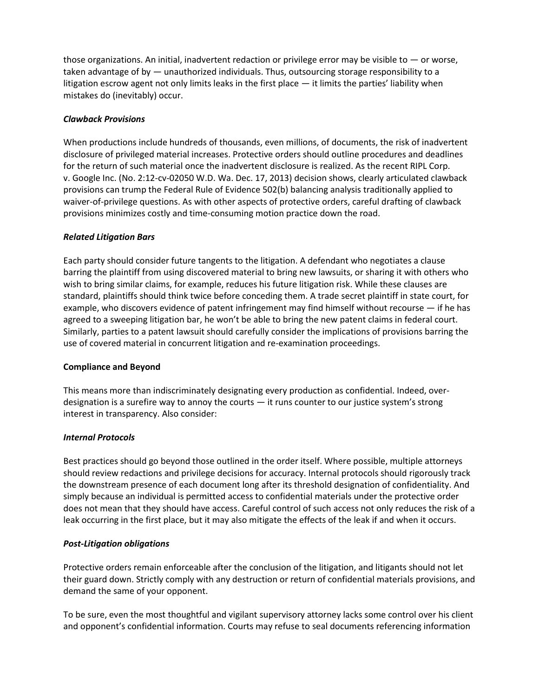those organizations. An initial, inadvertent redaction or privilege error may be visible to  $-$  or worse, taken advantage of by — unauthorized individuals. Thus, outsourcing storage responsibility to a litigation escrow agent not only limits leaks in the first place — it limits the parties' liability when mistakes do (inevitably) occur.

# *Clawback Provisions*

When productions include hundreds of thousands, even millions, of documents, the risk of inadvertent disclosure of privileged material increases. Protective orders should outline procedures and deadlines for the return of such material once the inadvertent disclosure is realized. As the recent RIPL Corp. v. Google Inc. (No. 2:12-cv-02050 W.D. Wa. Dec. 17, 2013) decision shows, clearly articulated clawback provisions can trump the Federal Rule of Evidence 502(b) balancing analysis traditionally applied to waiver-of-privilege questions. As with other aspects of protective orders, careful drafting of clawback provisions minimizes costly and time-consuming motion practice down the road.

# *Related Litigation Bars*

Each party should consider future tangents to the litigation. A defendant who negotiates a clause barring the plaintiff from using discovered material to bring new lawsuits, or sharing it with others who wish to bring similar claims, for example, reduces his future litigation risk. While these clauses are standard, plaintiffs should think twice before conceding them. A trade secret plaintiff in state court, for example, who discovers evidence of patent infringement may find himself without recourse — if he has agreed to a sweeping litigation bar, he won't be able to bring the new patent claims in federal court. Similarly, parties to a patent lawsuit should carefully consider the implications of provisions barring the use of covered material in concurrent litigation and re-examination proceedings.

## **Compliance and Beyond**

This means more than indiscriminately designating every production as confidential. Indeed, overdesignation is a surefire way to annoy the courts — it runs counter to our justice system's strong interest in transparency. Also consider:

## *Internal Protocols*

Best practices should go beyond those outlined in the order itself. Where possible, multiple attorneys should review redactions and privilege decisions for accuracy. Internal protocols should rigorously track the downstream presence of each document long after its threshold designation of confidentiality. And simply because an individual is permitted access to confidential materials under the protective order does not mean that they should have access. Careful control of such access not only reduces the risk of a leak occurring in the first place, but it may also mitigate the effects of the leak if and when it occurs.

## *Post-Litigation obligations*

Protective orders remain enforceable after the conclusion of the litigation, and litigants should not let their guard down. Strictly comply with any destruction or return of confidential materials provisions, and demand the same of your opponent.

To be sure, even the most thoughtful and vigilant supervisory attorney lacks some control over his client and opponent's confidential information. Courts may refuse to seal documents referencing information